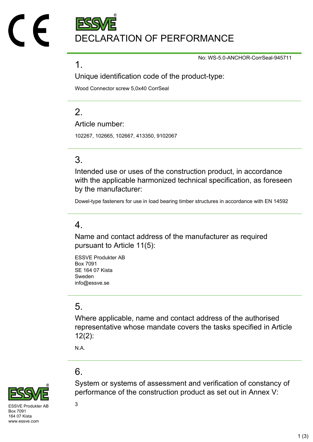DECLARATION OF PERFORMANCE

No: WS-5.0-ANCHOR-CorrSeal-945711

### 1.

Unique identification code of the product-type:

Wood Connector screw 5,0x40 CorrSeal

# $\mathcal{P}$

Article number:

102267, 102665, 102667, 413350, 9102067

## 3.

Intended use or uses of the construction product, in accordance with the applicable harmonized technical specification, as foreseen by the manufacturer:

Dowel-type fasteners for use in load bearing timber structures in accordance with EN 14592

### 4.

Name and contact address of the manufacturer as required pursuant to Article 11(5):

ESSVE Produkter AB Box 7091 SE 164 07 Kista Sweden info@essve.se

## 5.

Where applicable, name and contact address of the authorised representative whose mandate covers the tasks specified in Article 12(2):

System or systems of assessment and verification of constancy of

performance of the construction product as set out in Annex V:

N.A.

# 6.



 $SVF$  Produkter AB  $3$ Box 7091 164 07 Kista www.essve.com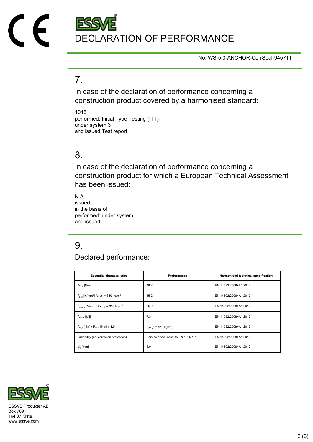# DECLARATION OF PERFORMANCE

No: WS-5.0-ANCHOR-CorrSeal-945711

## 7.

In case of the declaration of performance concerning a construction product covered by a harmonised standard:

1015 performed: Initial Type Testing (ITT) under system:3 and issued:Test report

### 8.

In case of the declaration of performance concerning a construction product for which a European Technical Assessment has been issued:

N.A. issued: in the basis of: performed: under system: and issued:

# 9.

Declared performance:

| <b>Essential characteristics</b>                                              | Performance                            | Harmonised technical specification |
|-------------------------------------------------------------------------------|----------------------------------------|------------------------------------|
| $M_{v k}$ [Nmm]                                                               | 4800                                   | EN 14592:2008+A1:2012              |
| $f_{\text{ax k}}$ [N/mm <sup>2</sup> ] for $\rho_k$ = 350 kg/m <sup>3</sup>   | 15.2                                   | EN 14592:2008+A1:2012              |
| $f_{\text{head},k}$ [N/mm <sup>2</sup> ] for $\rho_k$ = 350 kg/m <sup>3</sup> | 26.9                                   | EN 14592:2008+A1:2012              |
| $f_{tens.k}$ [kN]                                                             | 7.3                                    | EN 14592:2008+A1:2012              |
| $f_{\text{tor }k}$ [Nm] / $R_{\text{tor }k}$ [Nm] $\geq 1.5$                  | 2,3 ( $\rho$ = 450 kg/m <sup>3</sup> ) | EN 14592:2008+A1:2012              |
| Durability (i.e. corrosion protection)                                        | Service class 3 acc. to EN 1995-1-1    | EN 14592:2008+A1:2012              |
| $d_1$ [mm]                                                                    | 3,0                                    | EN 14592:2008+A1:2012              |



Box 7091 164 07 Kista www.essve.com